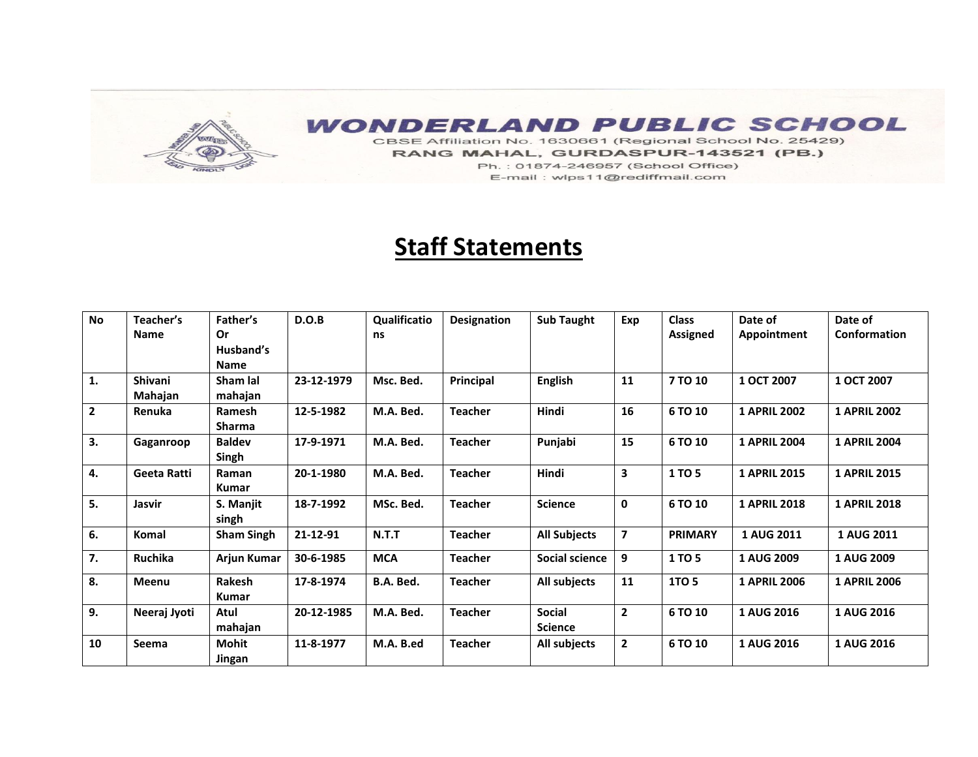## **WONDERLAND PUBLIC SCHOOL**

CBSE Affiliation No. 1630661 (Regional School No. 25429) RANG MAHAL, GURDASPUR-143521 (PB.) Ph.: 01874-246957 (School Office) E-mail: wlps11@rediffmail.com

## **Staff Statements**

| <b>No</b>      | Teacher's<br><b>Name</b> | Father's<br>Or<br>Husband's<br><b>Name</b> | D.O.B      | <b>Qualificatio</b><br>ns | <b>Designation</b> | <b>Sub Taught</b>               | Exp                     | <b>Class</b><br><b>Assigned</b> | Date of<br>Appointment | Date of<br>Conformation |
|----------------|--------------------------|--------------------------------------------|------------|---------------------------|--------------------|---------------------------------|-------------------------|---------------------------------|------------------------|-------------------------|
| 1.             | Shivani<br>Mahajan       | Sham lal<br>mahajan                        | 23-12-1979 | Msc. Bed.                 | Principal          | <b>English</b>                  | 11                      | 7 TO 10                         | 1 OCT 2007             | 1 OCT 2007              |
| $\overline{2}$ | Renuka                   | <b>Ramesh</b><br><b>Sharma</b>             | 12-5-1982  | M.A. Bed.                 | <b>Teacher</b>     | Hindi                           | 16                      | 6 TO 10                         | <b>1 APRIL 2002</b>    | <b>1 APRIL 2002</b>     |
| 3.             | Gaganroop                | <b>Baldev</b><br>Singh                     | 17-9-1971  | M.A. Bed.                 | <b>Teacher</b>     | Punjabi                         | 15                      | 6 TO 10                         | <b>1 APRIL 2004</b>    | <b>1 APRIL 2004</b>     |
| 4.             | Geeta Ratti              | Raman<br>Kumar                             | 20-1-1980  | M.A. Bed.                 | <b>Teacher</b>     | Hindi                           | $\overline{\mathbf{3}}$ | 1 TO 5                          | <b>1 APRIL 2015</b>    | <b>1 APRIL 2015</b>     |
| 5.             | Jasvir                   | S. Manjit<br>singh                         | 18-7-1992  | MSc. Bed.                 | <b>Teacher</b>     | <b>Science</b>                  | $\mathbf{0}$            | 6 TO 10                         | <b>1 APRIL 2018</b>    | <b>1 APRIL 2018</b>     |
| 6.             | Komal                    | <b>Sham Singh</b>                          | 21-12-91   | N.T.T                     | <b>Teacher</b>     | <b>All Subjects</b>             | $\overline{7}$          | <b>PRIMARY</b>                  | 1 AUG 2011             | 1 AUG 2011              |
| 7.             | Ruchika                  | Arjun Kumar                                | 30-6-1985  | <b>MCA</b>                | <b>Teacher</b>     | Social science                  | 9                       | 1 TO 5                          | 1 AUG 2009             | 1 AUG 2009              |
| 8.             | Meenu                    | Rakesh<br><b>Kumar</b>                     | 17-8-1974  | B.A. Bed.                 | <b>Teacher</b>     | All subjects                    | 11                      | <b>1TO 5</b>                    | <b>1 APRIL 2006</b>    | <b>1 APRIL 2006</b>     |
| 9.             | Neeraj Jyoti             | Atul<br>mahajan                            | 20-12-1985 | M.A. Bed.                 | <b>Teacher</b>     | <b>Social</b><br><b>Science</b> | $\overline{2}$          | 6 TO 10                         | 1 AUG 2016             | 1 AUG 2016              |
| 10             | Seema                    | <b>Mohit</b><br>Jingan                     | 11-8-1977  | M.A. B.ed                 | <b>Teacher</b>     | All subjects                    | $\overline{2}$          | 6 TO 10                         | <b>1 AUG 2016</b>      | <b>1 AUG 2016</b>       |